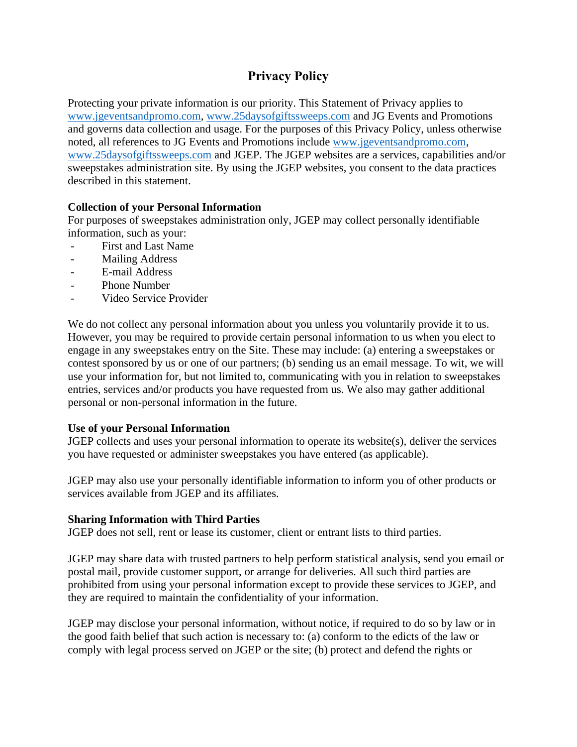# **Privacy Policy**

Protecting your private information is our priority. This Statement of Privacy applies to [www.jgeventsandpromo.com,](http://www.jgeventsandpromo.com/) [www.25daysofgiftssweeps.com](http://www.25daysofgiftssweeps.com/) and JG Events and Promotions and governs data collection and usage. For the purposes of this Privacy Policy, unless otherwise noted, all references to JG Events and Promotions include [www.jgeventsandpromo.com,](http://www.jgeventsandpromo.com/) [www.25daysofgiftssweeps.com](http://www.25daysofgiftssweeps.com/) and JGEP. The JGEP websites are a services, capabilities and/or sweepstakes administration site. By using the JGEP websites, you consent to the data practices described in this statement.

## **Collection of your Personal Information**

For purposes of sweepstakes administration only, JGEP may collect personally identifiable information, such as your:

- First and Last Name
- Mailing Address
- E-mail Address
- Phone Number
- Video Service Provider

We do not collect any personal information about you unless you voluntarily provide it to us. However, you may be required to provide certain personal information to us when you elect to engage in any sweepstakes entry on the Site. These may include: (a) entering a sweepstakes or contest sponsored by us or one of our partners; (b) sending us an email message. To wit, we will use your information for, but not limited to, communicating with you in relation to sweepstakes entries, services and/or products you have requested from us. We also may gather additional personal or non-personal information in the future.

#### **Use of your Personal Information**

JGEP collects and uses your personal information to operate its website(s), deliver the services you have requested or administer sweepstakes you have entered (as applicable).

JGEP may also use your personally identifiable information to inform you of other products or services available from JGEP and its affiliates.

#### **Sharing Information with Third Parties**

JGEP does not sell, rent or lease its customer, client or entrant lists to third parties.

JGEP may share data with trusted partners to help perform statistical analysis, send you email or postal mail, provide customer support, or arrange for deliveries. All such third parties are prohibited from using your personal information except to provide these services to JGEP, and they are required to maintain the confidentiality of your information.

JGEP may disclose your personal information, without notice, if required to do so by law or in the good faith belief that such action is necessary to: (a) conform to the edicts of the law or comply with legal process served on JGEP or the site; (b) protect and defend the rights or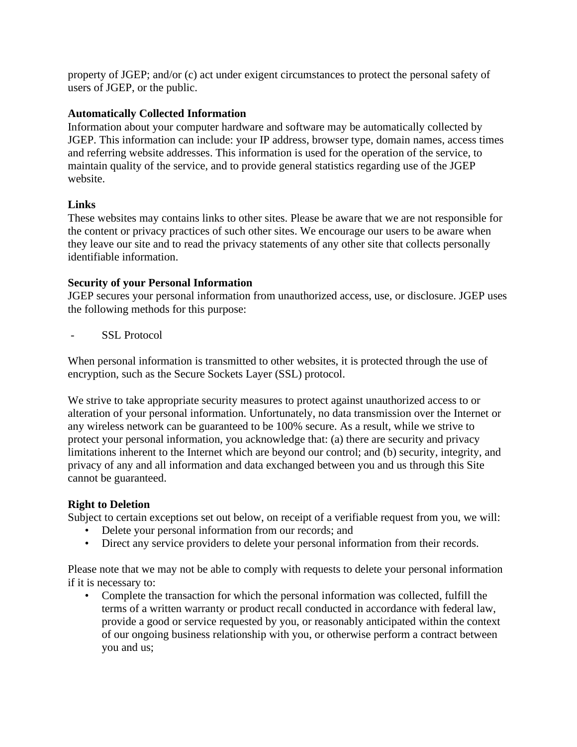property of JGEP; and/or (c) act under exigent circumstances to protect the personal safety of users of JGEP, or the public.

#### **Automatically Collected Information**

Information about your computer hardware and software may be automatically collected by JGEP. This information can include: your IP address, browser type, domain names, access times and referring website addresses. This information is used for the operation of the service, to maintain quality of the service, and to provide general statistics regarding use of the JGEP website.

#### **Links**

These websites may contains links to other sites. Please be aware that we are not responsible for the content or privacy practices of such other sites. We encourage our users to be aware when they leave our site and to read the privacy statements of any other site that collects personally identifiable information.

#### **Security of your Personal Information**

JGEP secures your personal information from unauthorized access, use, or disclosure. JGEP uses the following methods for this purpose:

- SSL Protocol

When personal information is transmitted to other websites, it is protected through the use of encryption, such as the Secure Sockets Layer (SSL) protocol.

We strive to take appropriate security measures to protect against unauthorized access to or alteration of your personal information. Unfortunately, no data transmission over the Internet or any wireless network can be guaranteed to be 100% secure. As a result, while we strive to protect your personal information, you acknowledge that: (a) there are security and privacy limitations inherent to the Internet which are beyond our control; and (b) security, integrity, and privacy of any and all information and data exchanged between you and us through this Site cannot be guaranteed.

## **Right to Deletion**

Subject to certain exceptions set out below, on receipt of a verifiable request from you, we will:

- Delete your personal information from our records; and
- Direct any service providers to delete your personal information from their records.

Please note that we may not be able to comply with requests to delete your personal information if it is necessary to:

• Complete the transaction for which the personal information was collected, fulfill the terms of a written warranty or product recall conducted in accordance with federal law, provide a good or service requested by you, or reasonably anticipated within the context of our ongoing business relationship with you, or otherwise perform a contract between you and us;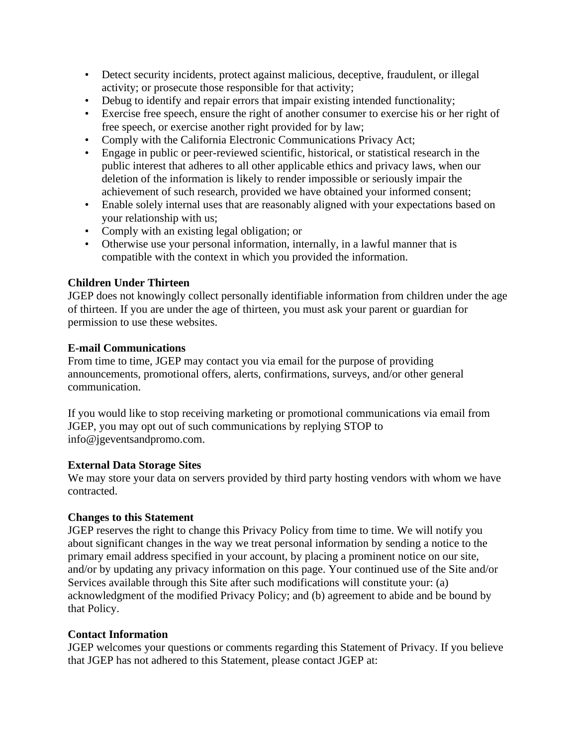- Detect security incidents, protect against malicious, deceptive, fraudulent, or illegal activity; or prosecute those responsible for that activity;
- Debug to identify and repair errors that impair existing intended functionality;
- Exercise free speech, ensure the right of another consumer to exercise his or her right of free speech, or exercise another right provided for by law;
- Comply with the California Electronic Communications Privacy Act;
- Engage in public or peer-reviewed scientific, historical, or statistical research in the public interest that adheres to all other applicable ethics and privacy laws, when our deletion of the information is likely to render impossible or seriously impair the achievement of such research, provided we have obtained your informed consent;
- Enable solely internal uses that are reasonably aligned with your expectations based on your relationship with us;
- Comply with an existing legal obligation; or
- Otherwise use your personal information, internally, in a lawful manner that is compatible with the context in which you provided the information.

# **Children Under Thirteen**

JGEP does not knowingly collect personally identifiable information from children under the age of thirteen. If you are under the age of thirteen, you must ask your parent or guardian for permission to use these websites.

# **E-mail Communications**

From time to time, JGEP may contact you via email for the purpose of providing announcements, promotional offers, alerts, confirmations, surveys, and/or other general communication.

If you would like to stop receiving marketing or promotional communications via email from JGEP, you may opt out of such communications by replying STOP to info@jgeventsandpromo.com.

## **External Data Storage Sites**

We may store your data on servers provided by third party hosting vendors with whom we have contracted.

## **Changes to this Statement**

JGEP reserves the right to change this Privacy Policy from time to time. We will notify you about significant changes in the way we treat personal information by sending a notice to the primary email address specified in your account, by placing a prominent notice on our site, and/or by updating any privacy information on this page. Your continued use of the Site and/or Services available through this Site after such modifications will constitute your: (a) acknowledgment of the modified Privacy Policy; and (b) agreement to abide and be bound by that Policy.

## **Contact Information**

JGEP welcomes your questions or comments regarding this Statement of Privacy. If you believe that JGEP has not adhered to this Statement, please contact JGEP at: